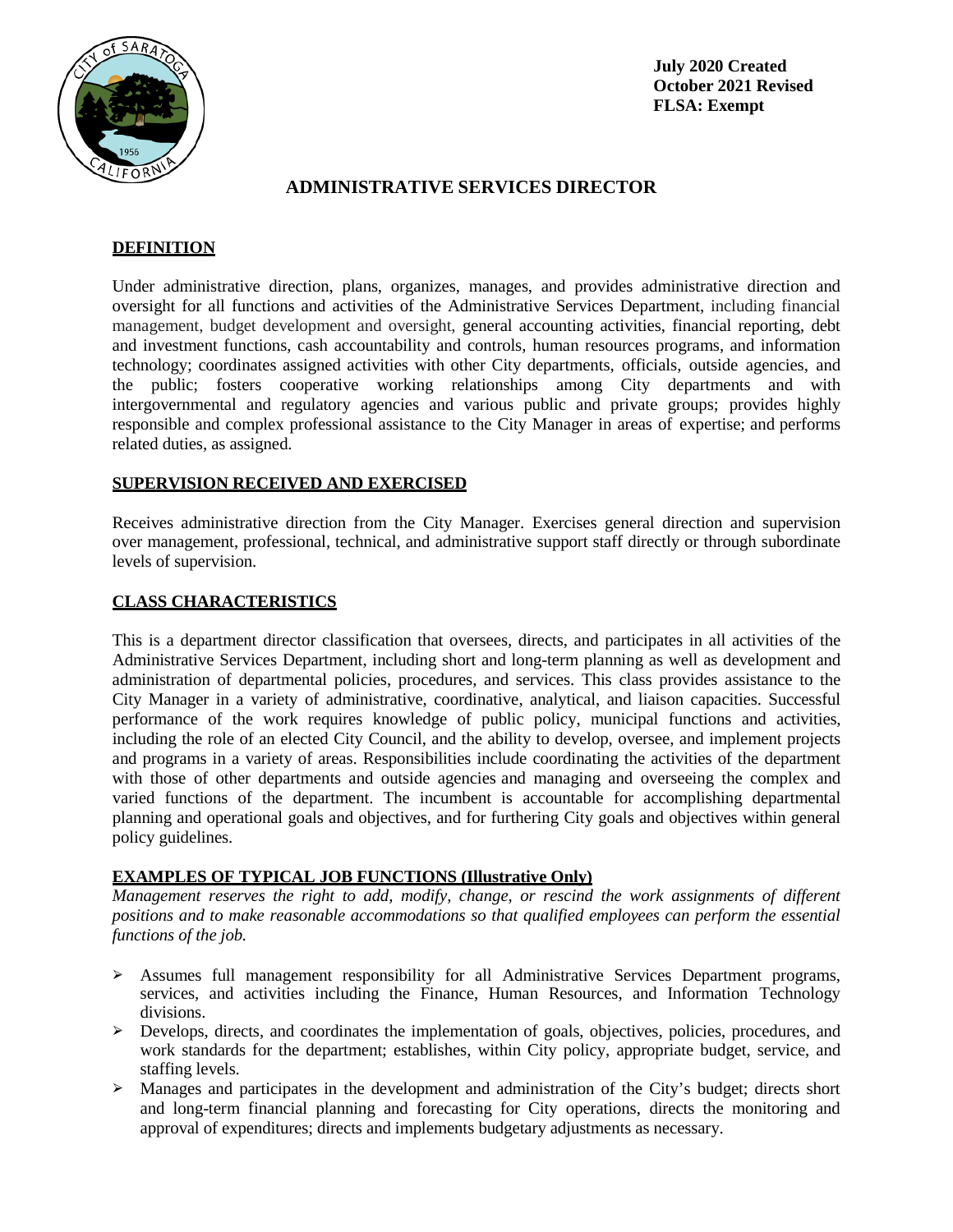

**July 2020 Created October 2021 Revised FLSA: Exempt**

# **ADMINISTRATIVE SERVICES DIRECTOR**

# **DEFINITION**

Under administrative direction, plans, organizes, manages, and provides administrative direction and oversight for all functions and activities of the Administrative Services Department, including financial management, budget development and oversight, general accounting activities, financial reporting, debt and investment functions, cash accountability and controls, human resources programs, and information technology; coordinates assigned activities with other City departments, officials, outside agencies, and the public; fosters cooperative working relationships among City departments and with intergovernmental and regulatory agencies and various public and private groups; provides highly responsible and complex professional assistance to the City Manager in areas of expertise; and performs related duties, as assigned.

## **SUPERVISION RECEIVED AND EXERCISED**

Receives administrative direction from the City Manager. Exercises general direction and supervision over management, professional, technical, and administrative support staff directly or through subordinate levels of supervision.

### **CLASS CHARACTERISTICS**

This is a department director classification that oversees, directs, and participates in all activities of the Administrative Services Department, including short and long-term planning as well as development and administration of departmental policies, procedures, and services. This class provides assistance to the City Manager in a variety of administrative, coordinative, analytical, and liaison capacities. Successful performance of the work requires knowledge of public policy, municipal functions and activities, including the role of an elected City Council, and the ability to develop, oversee, and implement projects and programs in a variety of areas. Responsibilities include coordinating the activities of the department with those of other departments and outside agencies and managing and overseeing the complex and varied functions of the department. The incumbent is accountable for accomplishing departmental planning and operational goals and objectives, and for furthering City goals and objectives within general policy guidelines.

### **EXAMPLES OF TYPICAL JOB FUNCTIONS (Illustrative Only)**

*Management reserves the right to add, modify, change, or rescind the work assignments of different positions and to make reasonable accommodations so that qualified employees can perform the essential functions of the job.*

- ➢ Assumes full management responsibility for all Administrative Services Department programs, services, and activities including the Finance, Human Resources, and Information Technology divisions.
- ➢ Develops, directs, and coordinates the implementation of goals, objectives, policies, procedures, and work standards for the department; establishes, within City policy, appropriate budget, service, and staffing levels.
- $\geq$  Manages and participates in the development and administration of the City's budget; directs short and long-term financial planning and forecasting for City operations, directs the monitoring and approval of expenditures; directs and implements budgetary adjustments as necessary.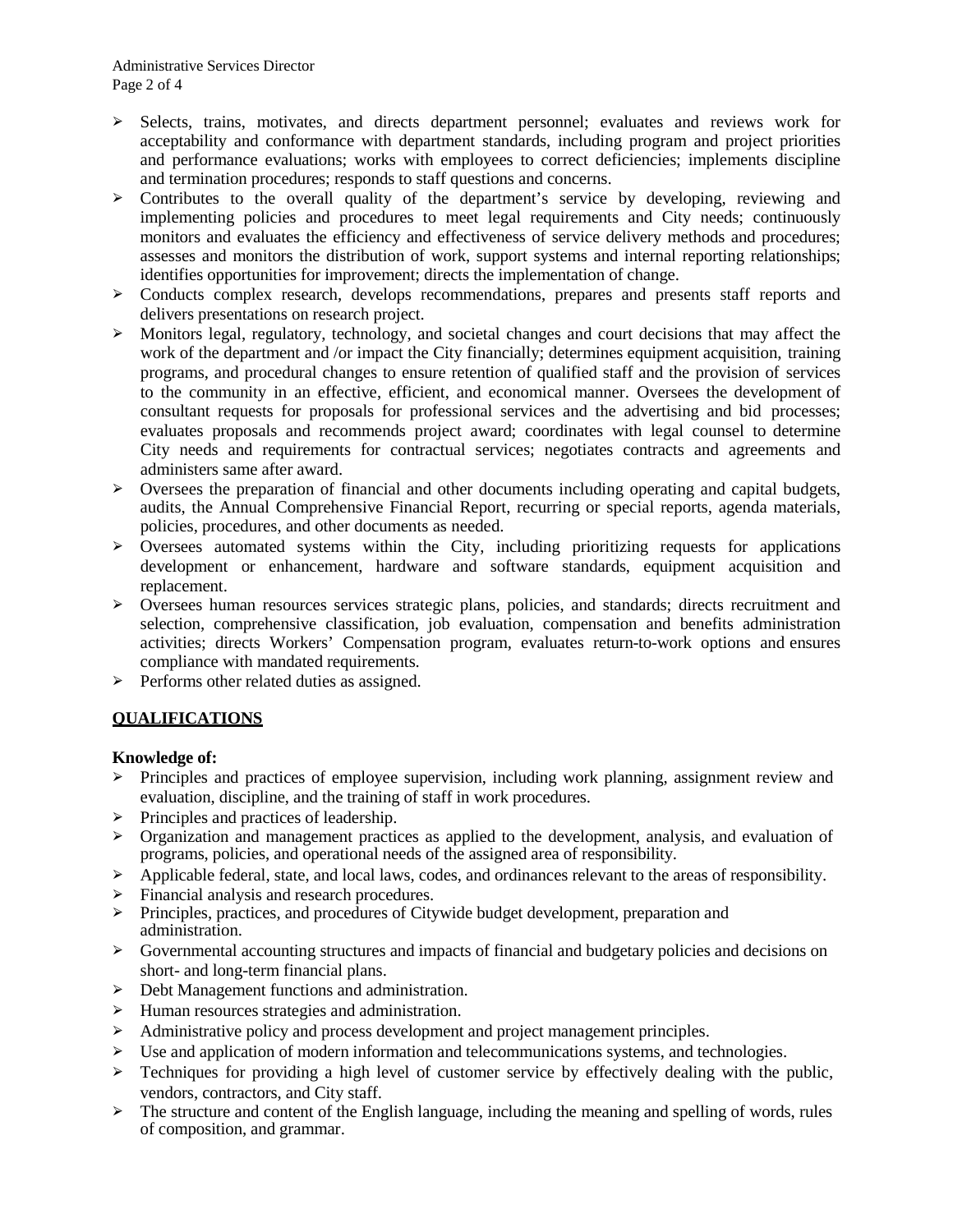- ➢ Selects, trains, motivates, and directs department personnel; evaluates and reviews work for acceptability and conformance with department standards, including program and project priorities and performance evaluations; works with employees to correct deficiencies; implements discipline and termination procedures; responds to staff questions and concerns.
- ➢ Contributes to the overall quality of the department's service by developing, reviewing and implementing policies and procedures to meet legal requirements and City needs; continuously monitors and evaluates the efficiency and effectiveness of service delivery methods and procedures; assesses and monitors the distribution of work, support systems and internal reporting relationships; identifies opportunities for improvement; directs the implementation of change.
- ➢ Conducts complex research, develops recommendations, prepares and presents staff reports and delivers presentations on research project.
- ➢ Monitors legal, regulatory, technology, and societal changes and court decisions that may affect the work of the department and /or impact the City financially; determines equipment acquisition, training programs, and procedural changes to ensure retention of qualified staff and the provision of services to the community in an effective, efficient, and economical manner. Oversees the development of consultant requests for proposals for professional services and the advertising and bid processes; evaluates proposals and recommends project award; coordinates with legal counsel to determine City needs and requirements for contractual services; negotiates contracts and agreements and administers same after award.
- ➢ Oversees the preparation of financial and other documents including operating and capital budgets, audits, the Annual Comprehensive Financial Report, recurring or special reports, agenda materials, policies, procedures, and other documents as needed.
- ➢ Oversees automated systems within the City, including prioritizing requests for applications development or enhancement, hardware and software standards, equipment acquisition and replacement.
- ➢ Oversees human resources services strategic plans, policies, and standards; directs recruitment and selection, comprehensive classification, job evaluation, compensation and benefits administration activities; directs Workers' Compensation program, evaluates return-to-work options and ensures compliance with mandated requirements.
- ➢ Performs other related duties as assigned.

# **QUALIFICATIONS**

### **Knowledge of:**

- ➢ Principles and practices of employee supervision, including work planning, assignment review and evaluation, discipline, and the training of staff in work procedures.
- ➢ Principles and practices of leadership.
- ➢ Organization and management practices as applied to the development, analysis, and evaluation of programs, policies, and operational needs of the assigned area of responsibility.
- ➢ Applicable federal, state, and local laws, codes, and ordinances relevant to the areas of responsibility.
- ➢ Financial analysis and research procedures.
- ➢ Principles, practices, and procedures of Citywide budget development, preparation and administration.
- $\triangleright$  Governmental accounting structures and impacts of financial and budgetary policies and decisions on short- and long-term financial plans.
- ➢ Debt Management functions and administration.
- ➢ Human resources strategies and administration.
- ➢ Administrative policy and process development and project management principles.
- ➢ Use and application of modern information and telecommunications systems, and technologies.
- $\geq$  Techniques for providing a high level of customer service by effectively dealing with the public, vendors, contractors, and City staff.
- ➢ The structure and content of the English language, including the meaning and spelling of words, rules of composition, and grammar.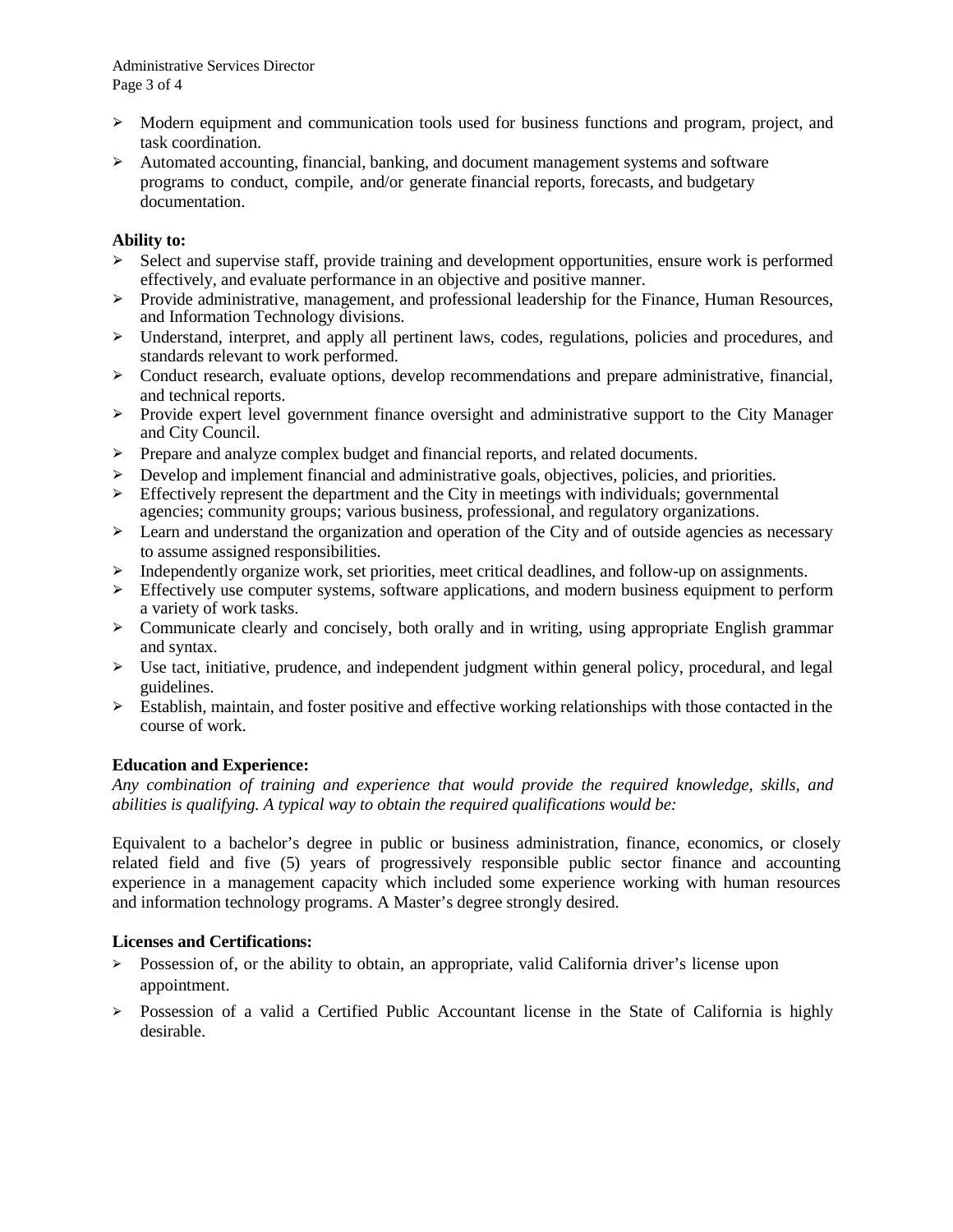- $\geq$  Modern equipment and communication tools used for business functions and program, project, and task coordination.
- ➢ Automated accounting, financial, banking, and document management systems and software programs to conduct, compile, and/or generate financial reports, forecasts, and budgetary documentation.

## **Ability to:**

- ➢ Select and supervise staff, provide training and development opportunities, ensure work is performed effectively, and evaluate performance in an objective and positive manner.
- ➢ Provide administrative, management, and professional leadership for the Finance, Human Resources, and Information Technology divisions.
- ➢ Understand, interpret, and apply all pertinent laws, codes, regulations, policies and procedures, and standards relevant to work performed.
- $\geq$  Conduct research, evaluate options, develop recommendations and prepare administrative, financial, and technical reports.
- ➢ Provide expert level government finance oversight and administrative support to the City Manager and City Council.
- ➢ Prepare and analyze complex budget and financial reports, and related documents.
- ➢ Develop and implement financial and administrative goals, objectives, policies, and priorities.
- $\geq$  Effectively represent the department and the City in meetings with individuals; governmental agencies; community groups; various business, professional, and regulatory organizations.
- $\geq$  Learn and understand the organization and operation of the City and of outside agencies as necessary to assume assigned responsibilities.
- ➢ Independently organize work, set priorities, meet critical deadlines, and follow-up on assignments.
- ➢ Effectively use computer systems, software applications, and modern business equipment to perform a variety of work tasks.
- $\geq$  Communicate clearly and concisely, both orally and in writing, using appropriate English grammar and syntax.
- $\triangleright$  Use tact, initiative, prudence, and independent judgment within general policy, procedural, and legal guidelines.
- $\geq$  Establish, maintain, and foster positive and effective working relationships with those contacted in the course of work.

# **Education and Experience:**

*Any combination of training and experience that would provide the required knowledge, skills, and abilities is qualifying. A typical way to obtain the required qualifications would be:*

Equivalent to a bachelor's degree in public or business administration, finance, economics, or closely related field and five (5) years of progressively responsible public sector finance and accounting experience in a management capacity which included some experience working with human resources and information technology programs. A Master's degree strongly desired.

### **Licenses and Certifications:**

- $\geq$  Possession of, or the ability to obtain, an appropriate, valid California driver's license upon appointment.
- ➢ Possession of a valid a Certified Public Accountant license in the State of California is highly desirable.